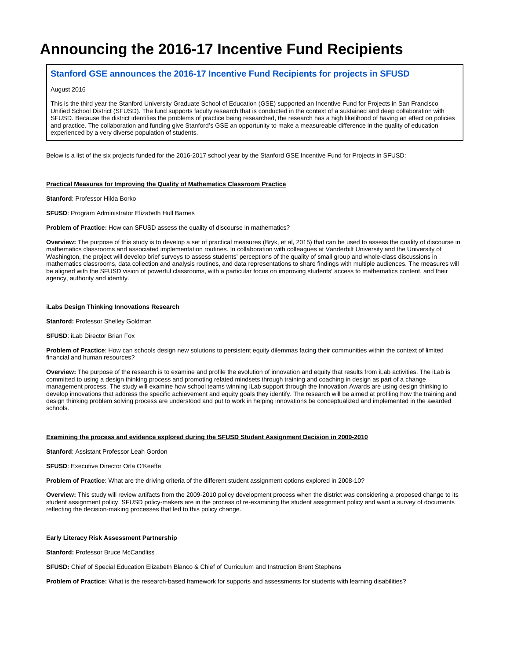# **Announcing the 2016-17 Incentive Fund Recipients**

# **[Stanford GSE announces the 2016-17 Incentive Fund Recipients for projects in SFUSD](http://collaborate.caedpartners.org/display/stanfordsfusd/2016/08/29/Announcing+the+2016-17+Incentive+Fund+Recipients)**

#### August 2016

This is the third year the Stanford University Graduate School of Education (GSE) supported an Incentive Fund for Projects in San Francisco Unified School District (SFUSD). The fund supports faculty research that is conducted in the context of a sustained and deep collaboration with SFUSD. Because the district identifies the problems of practice being researched, the research has a high likelihood of having an effect on policies and practice. The collaboration and funding give Stanford's GSE an opportunity to make a measureable difference in the quality of education experienced by a very diverse population of students.

Below is a list of the six projects funded for the 2016-2017 school year by the Stanford GSE Incentive Fund for Projects in SFUSD:

# **Practical Measures for Improving the Quality of Mathematics Classroom Practice**

#### **Stanford**: Professor Hilda Borko

**SFUSD**: Program Administrator Elizabeth Hull Barnes

#### **Problem of Practice:** How can SFUSD assess the quality of discourse in mathematics?

**Overview:** The purpose of this study is to develop a set of practical measures (Bryk, et al, 2015) that can be used to assess the quality of discourse in mathematics classrooms and associated implementation routines. In collaboration with colleagues at Vanderbilt University and the University of Washington, the project will develop brief surveys to assess students' perceptions of the quality of small group and whole-class discussions in mathematics classrooms, data collection and analysis routines, and data representations to share findings with multiple audiences. The measures will be aligned with the SFUSD vision of powerful classrooms, with a particular focus on improving students' access to mathematics content, and their agency, authority and identity.

# **iLabs Design Thinking Innovations Research**

**Stanford: Professor Shelley Goldman** 

# **SFUSD**: iLab Director Brian Fox

**Problem of Practice**: How can schools design new solutions to persistent equity dilemmas facing their communities within the context of limited financial and human resources?

**Overview:** The purpose of the research is to examine and profile the evolution of innovation and equity that results from iLab activities. The iLab is committed to using a design thinking process and promoting related mindsets through training and coaching in design as part of a change management process. The study will examine how school teams winning iLab support through the Innovation Awards are using design thinking to develop innovations that address the specific achievement and equity goals they identify. The research will be aimed at profiling how the training and design thinking problem solving process are understood and put to work in helping innovations be conceptualized and implemented in the awarded schools.

#### **Examining the process and evidence explored during the SFUSD Student Assignment Decision in 2009-2010**

**Stanford**: Assistant Professor Leah Gordon

# **SFUSD**: Executive Director Orla O'Keeffe

**Problem of Practice**: What are the driving criteria of the different student assignment options explored in 2008-10?

**Overview:** This study will review artifacts from the 2009-2010 policy development process when the district was considering a proposed change to its student assignment policy. SFUSD policy-makers are in the process of re-examining the student assignment policy and want a survey of documents reflecting the decision-making processes that led to this policy change.

# **Early Literacy Risk Assessment Partnership**

**Stanford: Professor Bruce McCandliss** 

**SFUSD:** Chief of Special Education Elizabeth Blanco & Chief of Curriculum and Instruction Brent Stephens

**Problem of Practice:** What is the research-based framework for supports and assessments for students with learning disabilities?